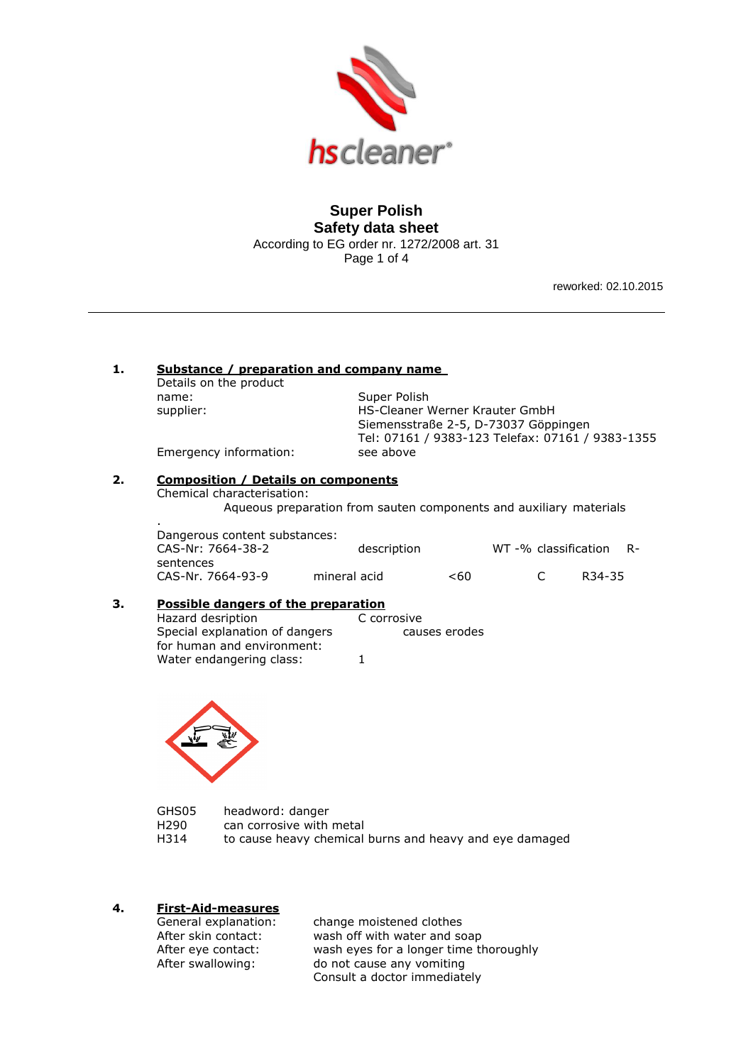

# **Super Polish Safety data sheet**  According to EG order nr. 1272/2008 art. 31 Page 1 of 4

reworked: 02.10.2015

## **1. Substance / preparation and company name**

Details on the product name: Super Polish

supplier: HS-Cleaner Werner Krauter GmbH Siemensstraße 2-5, D-73037 Göppingen Tel: 07161 / 9383-123 Telefax: 07161 / 9383-1355

Emergency information: see above

.

# **2. Composition / Details on components**

Chemical characterisation:

Aqueous preparation from sauten components and auxiliary materials

| Dangerous content substances: |              |      |                        |                     |  |
|-------------------------------|--------------|------|------------------------|---------------------|--|
| CAS-Nr: 7664-38-2             | description  |      | WT-% classification R- |                     |  |
| sentences                     |              |      |                        |                     |  |
| CAS-Nr. 7664-93-9             | mineral acid | < 60 | $\sqrt{ }$             | R <sub>34</sub> -35 |  |

# **3. Possible dangers of the preparation**

Hazard desription Special explanation of dangers causes erodes for human and environment: Water endangering class: 1



| GHS05 | headword: danger                                        |
|-------|---------------------------------------------------------|
| H290  | can corrosive with metal                                |
| H314  | to cause heavy chemical burns and heavy and eye damaged |

# **4. First-Aid-measures**

General explanation: change moistened clothes After skin contact: wash off with water and soap After eye contact: wash eyes for a longer time thoroughly After swallowing: do not cause any vomiting Consult a doctor immediately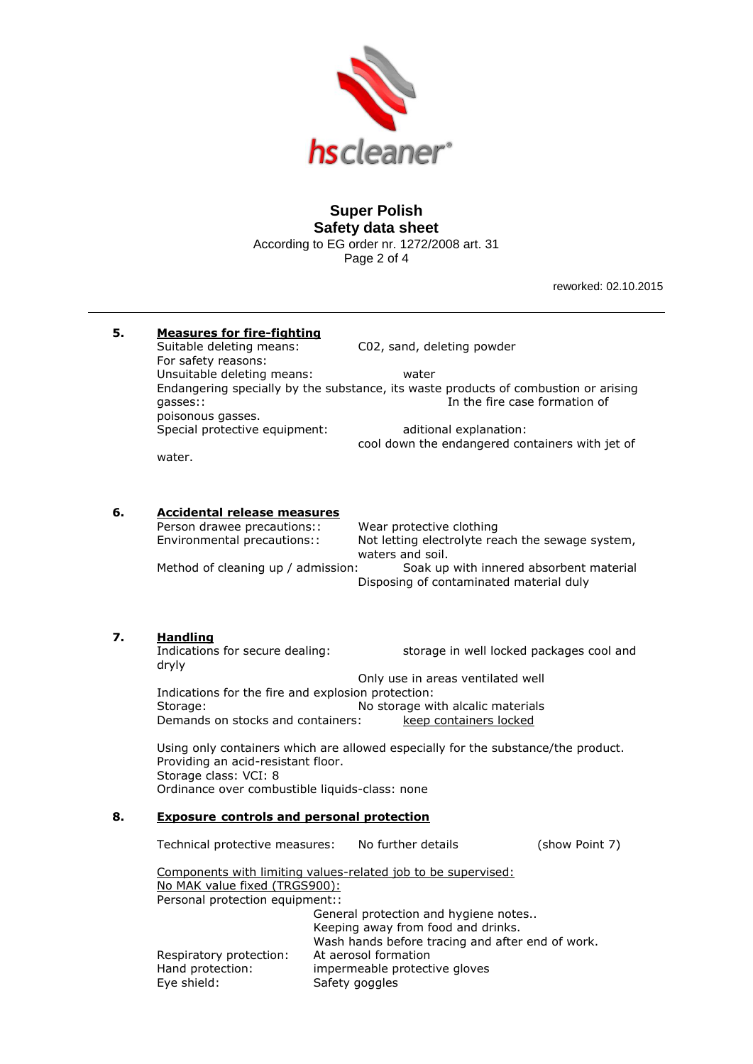

# **Super Polish Safety data sheet**  According to EG order nr. 1272/2008 art. 31

Page 2 of 4

reworked: 02.10.2015

| Suitable deleting means:<br>For safety reasons:<br>Unsuitable deleting means:<br>gasses::<br>poisonous gasses.<br>water. | C02, sand, deleting powder<br>water<br>In the fire case formation of<br>aditional explanation:<br>cool down the endangered containers with jet of                                      |                                                                                                                                                                                                                                                                                                                                                                                                                                                                                                                                                                                                                                                                                                                                                                                                                                                                                                                                                                                                                                                        |
|--------------------------------------------------------------------------------------------------------------------------|----------------------------------------------------------------------------------------------------------------------------------------------------------------------------------------|--------------------------------------------------------------------------------------------------------------------------------------------------------------------------------------------------------------------------------------------------------------------------------------------------------------------------------------------------------------------------------------------------------------------------------------------------------------------------------------------------------------------------------------------------------------------------------------------------------------------------------------------------------------------------------------------------------------------------------------------------------------------------------------------------------------------------------------------------------------------------------------------------------------------------------------------------------------------------------------------------------------------------------------------------------|
|                                                                                                                          | Wear protective clothing<br>Not letting electrolyte reach the sewage system,<br>waters and soil.<br>Soak up with innered absorbent material<br>Disposing of contaminated material duly |                                                                                                                                                                                                                                                                                                                                                                                                                                                                                                                                                                                                                                                                                                                                                                                                                                                                                                                                                                                                                                                        |
| <u>Handling</u><br>dryly<br>Storage:<br>Storage class: VCI: 8                                                            | storage in well locked packages cool and<br>Only use in areas ventilated well<br>No storage with alcalic materials<br>keep containers locked                                           |                                                                                                                                                                                                                                                                                                                                                                                                                                                                                                                                                                                                                                                                                                                                                                                                                                                                                                                                                                                                                                                        |
| Respiratory protection:<br>Hand protection:<br>Eye shield:                                                               | No further details                                                                                                                                                                     | (show Point 7)                                                                                                                                                                                                                                                                                                                                                                                                                                                                                                                                                                                                                                                                                                                                                                                                                                                                                                                                                                                                                                         |
|                                                                                                                          |                                                                                                                                                                                        | <b>Measures for fire-fighting</b><br>Endangering specially by the substance, its waste products of combustion or arising<br>Special protective equipment:<br><b>Accidental release measures</b><br>Person drawee precautions::<br>Environmental precautions::<br>Method of cleaning up / admission:<br>Indications for secure dealing:<br>Indications for the fire and explosion protection:<br>Demands on stocks and containers:<br>Using only containers which are allowed especially for the substance/the product.<br>Providing an acid-resistant floor.<br>Ordinance over combustible liquids-class: none<br><b>Exposure controls and personal protection</b><br>Technical protective measures:<br>Components with limiting values-related job to be supervised:<br>No MAK value fixed (TRGS900):<br>Personal protection equipment::<br>General protection and hygiene notes<br>Keeping away from food and drinks.<br>Wash hands before tracing and after end of work.<br>At aerosol formation<br>impermeable protective gloves<br>Safety goggles |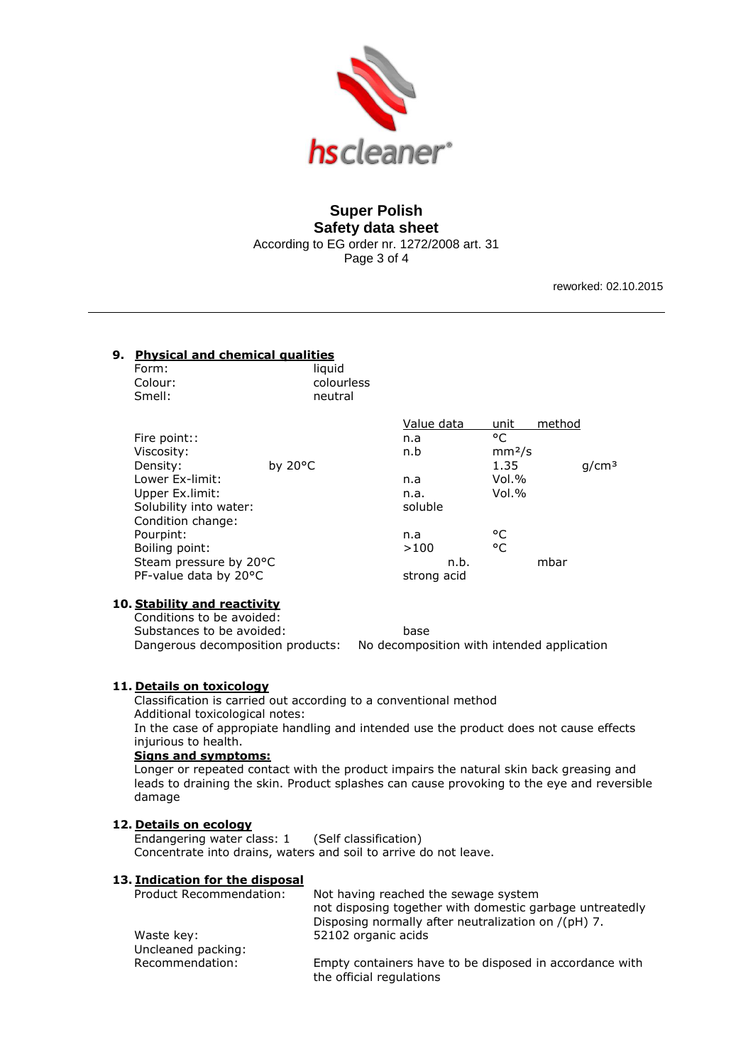

## **Super Polish Safety data sheet**  According to EG order nr. 1272/2008 art. 31 Page 3 of 4

reworked: 02.10.2015

# **9. Physical and chemical qualities**

| Form:   | liauid     |
|---------|------------|
| Colour: | colourless |
| Smell:  | neutral    |

|                        |                   | Value data  | unit               | method            |
|------------------------|-------------------|-------------|--------------------|-------------------|
| Fire point::           |                   | n.a         | °C                 |                   |
| Viscosity:             |                   | n.b         | mm <sup>2</sup> /s |                   |
| Density:               | by $20^{\circ}$ C |             | 1.35               | q/cm <sup>3</sup> |
| Lower Ex-limit:        |                   | n.a         | Vol.%              |                   |
| Upper Ex.limit:        |                   | n.a.        | Vol.%              |                   |
| Solubility into water: |                   | soluble     |                    |                   |
| Condition change:      |                   |             |                    |                   |
| Pourpint:              |                   | n.a         | °C                 |                   |
| Boiling point:         |                   | >100        | °C                 |                   |
| Steam pressure by 20°C |                   | n.b.        |                    | mbar              |
| PF-value data by 20°C  |                   | strong acid |                    |                   |
|                        |                   |             |                    |                   |

## **10. Stability and reactivity**

Conditions to be avoided: Substances to be avoided: base Dangerous decomposition products: No decomposition with intended application

## **11. Details on toxicology**

Classification is carried out according to a conventional method Additional toxicological notes: In the case of appropiate handling and intended use the product does not cause effects injurious to health.

## **Signs and symptoms:**

Longer or repeated contact with the product impairs the natural skin back greasing and leads to draining the skin. Product splashes can cause provoking to the eye and reversible damage

#### **12. Details on ecology**

Endangering water class: 1 (Self classification) Concentrate into drains, waters and soil to arrive do not leave.

#### **13. Indication for the disposal**

| Product Recommendation: | Not having reached the sewage system                                                |
|-------------------------|-------------------------------------------------------------------------------------|
|                         | not disposing together with domestic garbage untreatedly                            |
|                         | Disposing normally after neutralization on /(pH) 7.                                 |
| Waste key:              | 52102 organic acids                                                                 |
| Uncleaned packing:      |                                                                                     |
| Recommendation:         | Empty containers have to be disposed in accordance with<br>the official regulations |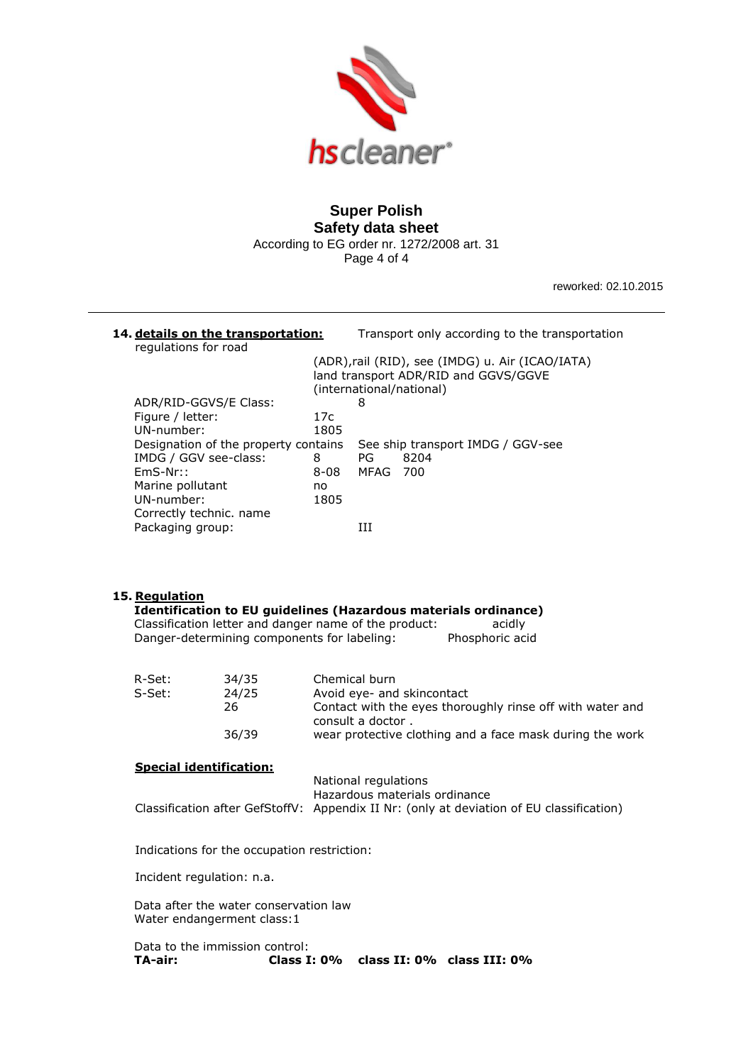

# **Super Polish Safety data sheet**  According to EG order nr. 1272/2008 art. 31

Page 4 of 4

reworked: 02.10.2015

#### **14. details on the transportation:** Transport only according to the transportation regulations for road (ADR),rail (RID), see (IMDG) u. Air (ICAO/IATA) land transport ADR/RID and GGVS/GGVE (international/national) ADR/RID-GGVS/E Class: 8 Figure / letter: 17c UN-number: 1805 Designation of the property contains See ship transport IMDG / GGV-see IMDG / GGV see-class: 8 PG 8204 EmS-Nr:: 8-08 MFAG 700 Marine pollutant mo UN-number: 1805 Correctly technic. name Packaging group: III

## **15. Regulation**

## **Identification to EU guidelines (Hazardous materials ordinance)**

| Classification letter and danger name of the product: | acidly          |
|-------------------------------------------------------|-----------------|
| Danger-determining components for labeling:           | Phosphoric acid |

| R-Set: | 34/35 | Chemical burn                                                                  |
|--------|-------|--------------------------------------------------------------------------------|
| S-Set: | 24/25 | Avoid eye- and skincontact                                                     |
|        | 26    | Contact with the eyes thoroughly rinse off with water and<br>consult a doctor. |
|        | 36/39 | wear protective clothing and a face mask during the work                       |

#### **Special identification:**

| National regulations                                                                     |
|------------------------------------------------------------------------------------------|
| Hazardous materials ordinance                                                            |
| Classification after GefStoffV: Appendix II Nr: (only at deviation of EU classification) |
|                                                                                          |

Indications for the occupation restriction:

Incident regulation: n.a.

Data after the water conservation law Water endangerment class:1

Data to the immission control: **TA-air: Class I: 0% class II: 0% class III: 0%**